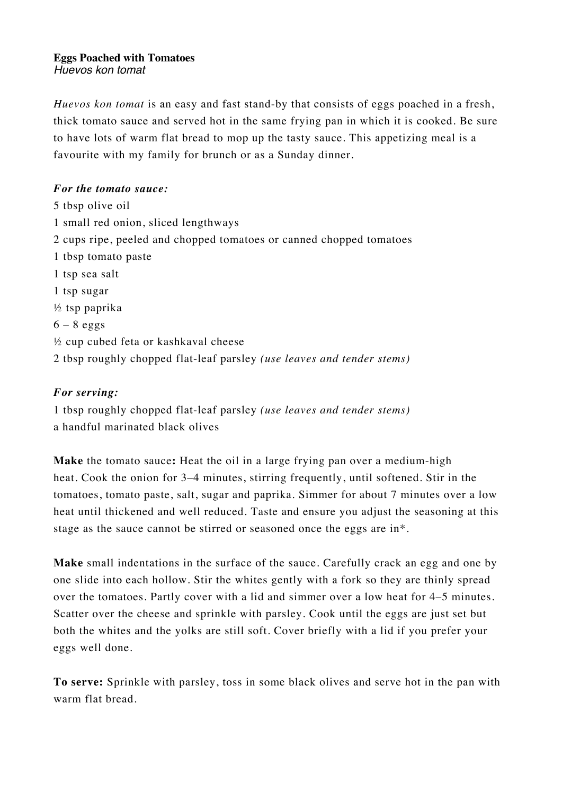#### **Eggs Poached with Tomatoes** *Huevos kon tomat*

*Huevos kon tomat* is an easy and fast stand-by that consists of eggs poached in a fresh, thick tomato sauce and served hot in the same frying pan in which it is cooked. Be sure to have lots of warm flat bread to mop up the tasty sauce. This appetizing meal is a favourite with my family for brunch or as a Sunday dinner.

## *For the tomato sauce:*

5 tbsp olive oil 1 small red onion, sliced lengthways 2 cups ripe, peeled and chopped tomatoes or canned chopped tomatoes 1 tbsp tomato paste 1 tsp sea salt 1 tsp sugar ½ tsp paprika  $6 - 8$  eggs ½ cup cubed feta or kashkaval cheese 2 tbsp roughly chopped flat-leaf parsley *(use leaves and tender stems)*

# *For serving:*

1 tbsp roughly chopped flat-leaf parsley *(use leaves and tender stems)* a handful marinated black olives

**Make** the tomato sauce**:** Heat the oil in a large frying pan over a medium-high heat. Cook the onion for 3–4 minutes, stirring frequently, until softened. Stir in the tomatoes, tomato paste, salt, sugar and paprika. Simmer for about 7 minutes over a low heat until thickened and well reduced. Taste and ensure you adjust the seasoning at this stage as the sauce cannot be stirred or seasoned once the eggs are in\*.

**Make** small indentations in the surface of the sauce. Carefully crack an egg and one by one slide into each hollow. Stir the whites gently with a fork so they are thinly spread over the tomatoes. Partly cover with a lid and simmer over a low heat for 4–5 minutes. Scatter over the cheese and sprinkle with parsley. Cook until the eggs are just set but both the whites and the yolks are still soft. Cover briefly with a lid if you prefer your eggs well done.

**To serve:** Sprinkle with parsley, toss in some black olives and serve hot in the pan with warm flat bread.